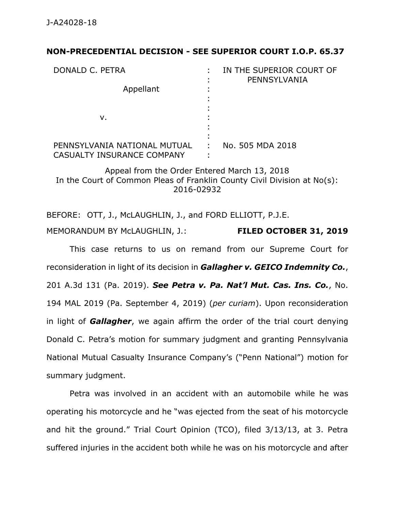## **NON-PRECEDENTIAL DECISION - SEE SUPERIOR COURT I.O.P. 65.37**

| DONALD C. PETRA<br>Appellant                               | IN THE SUPERIOR COURT OF<br>PENNSYLVANIA |
|------------------------------------------------------------|------------------------------------------|
| ν.                                                         |                                          |
| PENNSYLVANIA NATIONAL MUTUAL<br>CASUALTY INSURANCE COMPANY | No. 505 MDA 2018                         |

Appeal from the Order Entered March 13, 2018 In the Court of Common Pleas of Franklin County Civil Division at No(s): 2016-02932

BEFORE: OTT, J., McLAUGHLIN, J., and FORD ELLIOTT, P.J.E. MEMORANDUM BY McLAUGHLIN, J.: **FILED OCTOBER 31, 2019**

This case returns to us on remand from our Supreme Court for reconsideration in light of its decision in *Gallagher v. GEICO Indemnity Co.*, 201 A.3d 131 (Pa. 2019). *See Petra v. Pa. Nat'l Mut. Cas. Ins. Co.*, No. 194 MAL 2019 (Pa. September 4, 2019) (*per curiam*). Upon reconsideration in light of *Gallagher*, we again affirm the order of the trial court denying Donald C. Petra's motion for summary judgment and granting Pennsylvania National Mutual Casualty Insurance Company's ("Penn National") motion for summary judgment.

Petra was involved in an accident with an automobile while he was operating his motorcycle and he "was ejected from the seat of his motorcycle and hit the ground." Trial Court Opinion (TCO), filed 3/13/13, at 3. Petra suffered injuries in the accident both while he was on his motorcycle and after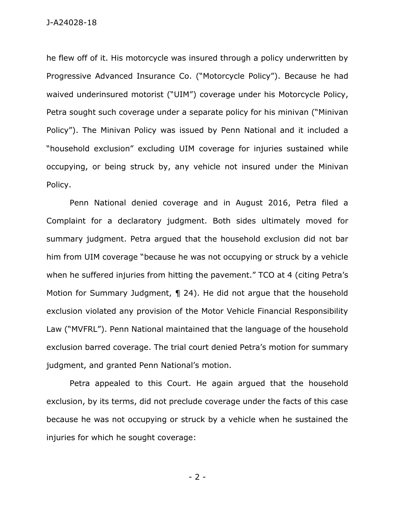he flew off of it. His motorcycle was insured through a policy underwritten by Progressive Advanced Insurance Co. ("Motorcycle Policy"). Because he had waived underinsured motorist ("UIM") coverage under his Motorcycle Policy, Petra sought such coverage under a separate policy for his minivan ("Minivan Policy"). The Minivan Policy was issued by Penn National and it included a "household exclusion" excluding UIM coverage for injuries sustained while occupying, or being struck by, any vehicle not insured under the Minivan Policy.

Penn National denied coverage and in August 2016, Petra filed a Complaint for a declaratory judgment. Both sides ultimately moved for summary judgment. Petra argued that the household exclusion did not bar him from UIM coverage "because he was not occupying or struck by a vehicle when he suffered injuries from hitting the pavement." TCO at 4 (citing Petra's Motion for Summary Judgment, ¶ 24). He did not argue that the household exclusion violated any provision of the Motor Vehicle Financial Responsibility Law ("MVFRL"). Penn National maintained that the language of the household exclusion barred coverage. The trial court denied Petra's motion for summary judgment, and granted Penn National's motion.

Petra appealed to this Court. He again argued that the household exclusion, by its terms, did not preclude coverage under the facts of this case because he was not occupying or struck by a vehicle when he sustained the injuries for which he sought coverage:

- 2 -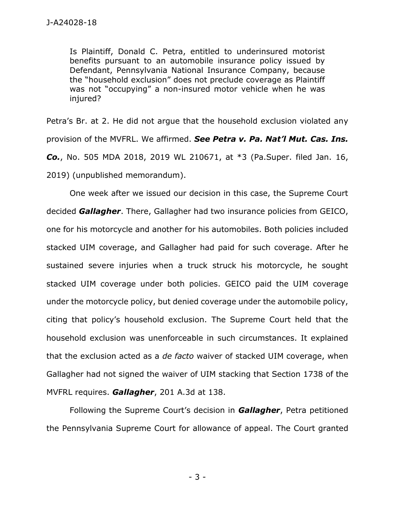Is Plaintiff, Donald C. Petra, entitled to underinsured motorist benefits pursuant to an automobile insurance policy issued by Defendant, Pennsylvania National Insurance Company, because the "household exclusion" does not preclude coverage as Plaintiff was not "occupying" a non-insured motor vehicle when he was injured?

Petra's Br. at 2. He did not argue that the household exclusion violated any provision of the MVFRL. We affirmed. *See Petra v. Pa. Nat'l Mut. Cas. Ins. Co.*, No. 505 MDA 2018, 2019 WL 210671, at \*3 (Pa.Super. filed Jan. 16, 2019) (unpublished memorandum).

One week after we issued our decision in this case, the Supreme Court decided *Gallagher*. There, Gallagher had two insurance policies from GEICO, one for his motorcycle and another for his automobiles. Both policies included stacked UIM coverage, and Gallagher had paid for such coverage. After he sustained severe injuries when a truck struck his motorcycle, he sought stacked UIM coverage under both policies. GEICO paid the UIM coverage under the motorcycle policy, but denied coverage under the automobile policy, citing that policy's household exclusion. The Supreme Court held that the household exclusion was unenforceable in such circumstances. It explained that the exclusion acted as a *de facto* waiver of stacked UIM coverage, when Gallagher had not signed the waiver of UIM stacking that Section 1738 of the MVFRL requires. *Gallagher*, 201 A.3d at 138.

Following the Supreme Court's decision in *Gallagher*, Petra petitioned the Pennsylvania Supreme Court for allowance of appeal. The Court granted